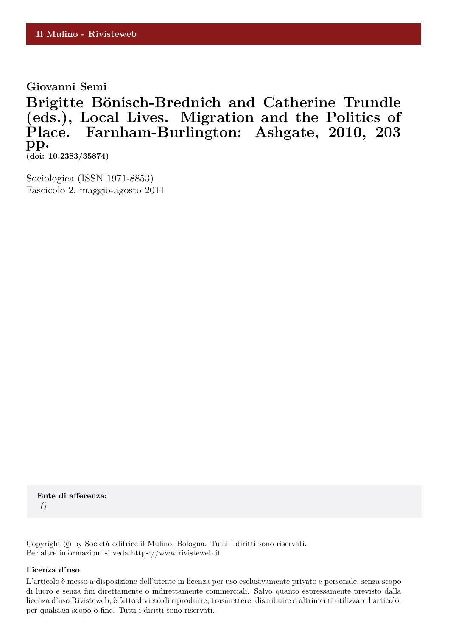**Giovanni Semi**

Brigitte Bönisch-Brednich and Catherine Trundle **(eds.), Local Lives. Migration and the Politics of Place. Farnham-Burlington: Ashgate, 2010, 203 pp. (doi: 10.2383/35874)**

Sociologica (ISSN 1971-8853) Fascicolo 2, maggio-agosto 2011

**Ente di afferenza:** *()*

Copyright © by Società editrice il Mulino, Bologna. Tutti i diritti sono riservati. Per altre informazioni si veda https://www.rivisteweb.it

## **Licenza d'uso**

L'articolo è messo a disposizione dell'utente in licenza per uso esclusivamente privato e personale, senza scopo di lucro e senza fini direttamente o indirettamente commerciali. Salvo quanto espressamente previsto dalla licenza d'uso Rivisteweb, è fatto divieto di riprodurre, trasmettere, distribuire o altrimenti utilizzare l'articolo, per qualsiasi scopo o fine. Tutti i diritti sono riservati.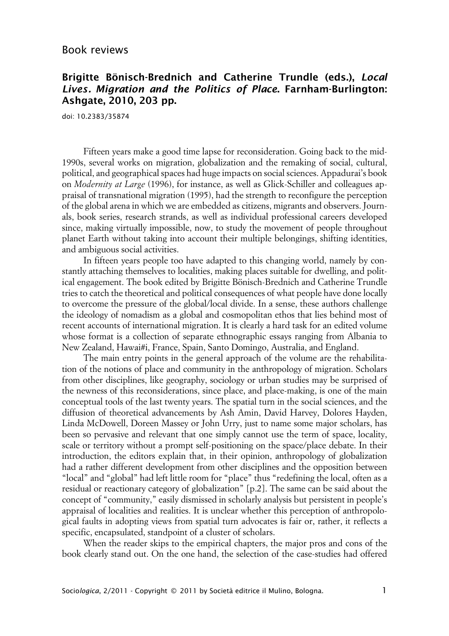## Book reviews

## **Brigitte Bönisch-Brednich and Catherine Trundle (eds.), Local Lives. Migration and the Politics of Place. Farnham-Burlington: Ashgate, 2010, 203 pp.**

doi: 10.2383/35874

Fifteen years make a good time lapse for reconsideration. Going back to the mid-1990s, several works on migration, globalization and the remaking of social, cultural, political, and geographical spaces had huge impacts on social sciences. Appadurai's book on *Modernity at Large* (1996), for instance, as well as Glick-Schiller and colleagues appraisal of transnational migration (1995), had the strength to reconfigure the perception of the global arena in which we are embedded as citizens, migrants and observers. Journals, book series, research strands, as well as individual professional careers developed since, making virtually impossible, now, to study the movement of people throughout planet Earth without taking into account their multiple belongings, shifting identities, and ambiguous social activities.

In fifteen years people too have adapted to this changing world, namely by constantly attaching themselves to localities, making places suitable for dwelling, and political engagement. The book edited by Brigitte Bönisch-Brednich and Catherine Trundle tries to catch the theoretical and political consequences of what people have done locally to overcome the pressure of the global/local divide. In a sense, these authors challenge the ideology of nomadism as a global and cosmopolitan ethos that lies behind most of recent accounts of international migration. It is clearly a hard task for an edited volume whose format is a collection of separate ethnographic essays ranging from Albania to New Zealand, Hawai#i, France, Spain, Santo Domingo, Australia, and England.

The main entry points in the general approach of the volume are the rehabilitation of the notions of place and community in the anthropology of migration. Scholars from other disciplines, like geography, sociology or urban studies may be surprised of the newness of this reconsiderations, since place, and place-making, is one of the main conceptual tools of the last twenty years. The spatial turn in the social sciences, and the diffusion of theoretical advancements by Ash Amin, David Harvey, Dolores Hayden, Linda McDowell, Doreen Massey or John Urry, just to name some major scholars, has been so pervasive and relevant that one simply cannot use the term of space, locality, scale or territory without a prompt self-positioning on the space/place debate. In their introduction, the editors explain that, in their opinion, anthropology of globalization had a rather different development from other disciplines and the opposition between "local" and "global" had left little room for "place" thus "redefining the local, often as a residual or reactionary category of globalization" [p.2]. The same can be said about the concept of "community," easily dismissed in scholarly analysis but persistent in people's appraisal of localities and realities. It is unclear whether this perception of anthropological faults in adopting views from spatial turn advocates is fair or, rather, it reflects a specific, encapsulated, standpoint of a cluster of scholars.

When the reader skips to the empirical chapters, the major pros and cons of the book clearly stand out. On the one hand, the selection of the case-studies had offered